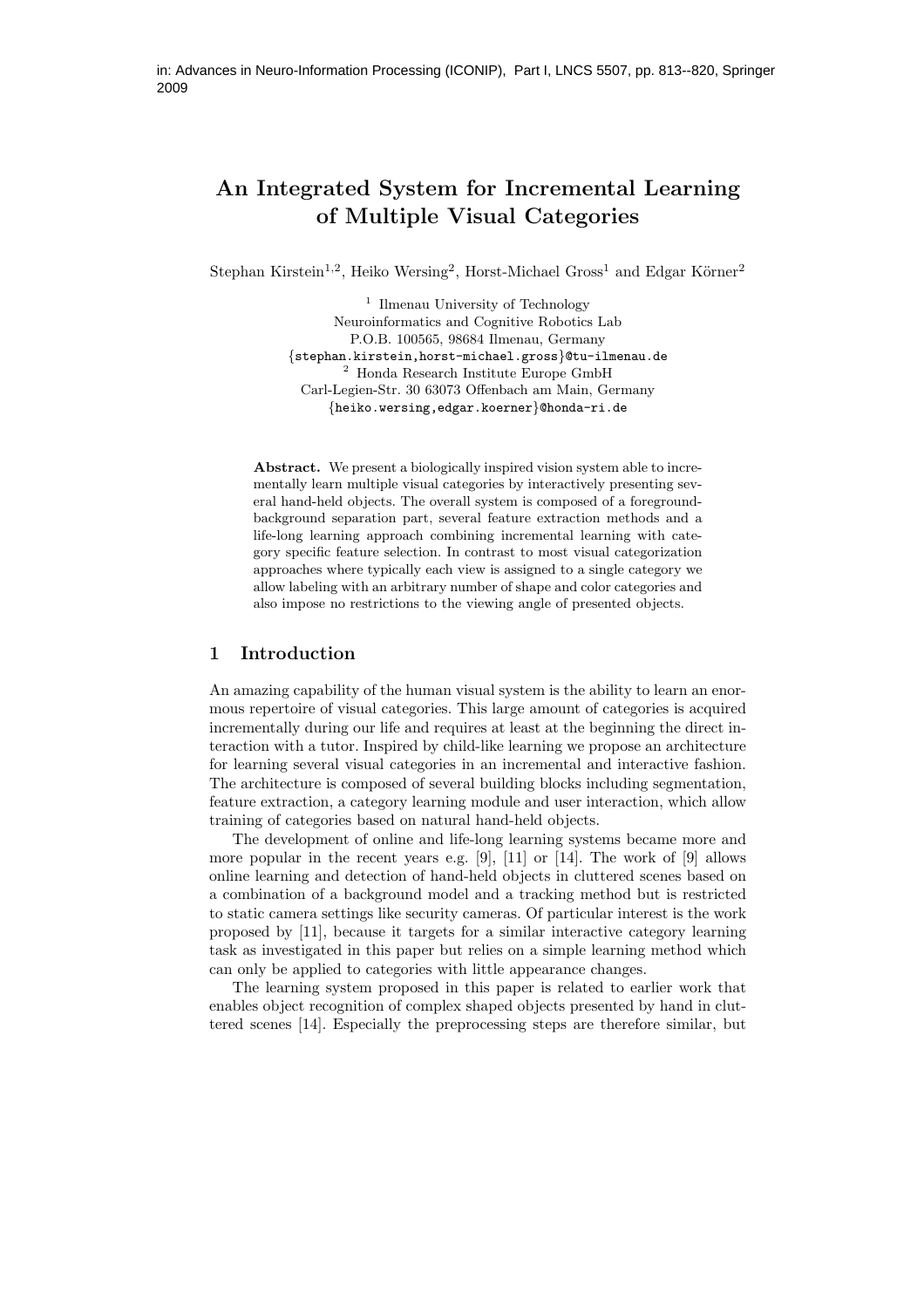# An Integrated System for Incremental Learning of Multiple Visual Categories

Stephan Kirstein<sup>1,2</sup>, Heiko Wersing<sup>2</sup>, Horst-Michael Gross<sup>1</sup> and Edgar Körner<sup>2</sup>

<sup>1</sup> Ilmenau University of Technology Neuroinformatics and Cognitive Robotics Lab P.O.B. 100565, 98684 Ilmenau, Germany {stephan.kirstein,horst-michael.gross}@tu-ilmenau.de  $^{\rm 2}$ Honda Research Institute Europe GmbH Carl-Legien-Str. 30 63073 Offenbach am Main, Germany {heiko.wersing,edgar.koerner}@honda-ri.de

Abstract. We present a biologically inspired vision system able to incrementally learn multiple visual categories by interactively presenting several hand-held objects. The overall system is composed of a foregroundbackground separation part, several feature extraction methods and a life-long learning approach combining incremental learning with category specific feature selection. In contrast to most visual categorization approaches where typically each view is assigned to a single category we allow labeling with an arbitrary number of shape and color categories and also impose no restrictions to the viewing angle of presented objects.

## 1 Introduction

An amazing capability of the human visual system is the ability to learn an enormous repertoire of visual categories. This large amount of categories is acquired incrementally during our life and requires at least at the beginning the direct interaction with a tutor. Inspired by child-like learning we propose an architecture for learning several visual categories in an incremental and interactive fashion. The architecture is composed of several building blocks including segmentation, feature extraction, a category learning module and user interaction, which allow training of categories based on natural hand-held objects.

The development of online and life-long learning systems became more and more popular in the recent years e.g. [9], [11] or [14]. The work of [9] allows online learning and detection of hand-held objects in cluttered scenes based on a combination of a background model and a tracking method but is restricted to static camera settings like security cameras. Of particular interest is the work proposed by [11], because it targets for a similar interactive category learning task as investigated in this paper but relies on a simple learning method which can only be applied to categories with little appearance changes.

The learning system proposed in this paper is related to earlier work that enables object recognition of complex shaped objects presented by hand in cluttered scenes [14]. Especially the preprocessing steps are therefore similar, but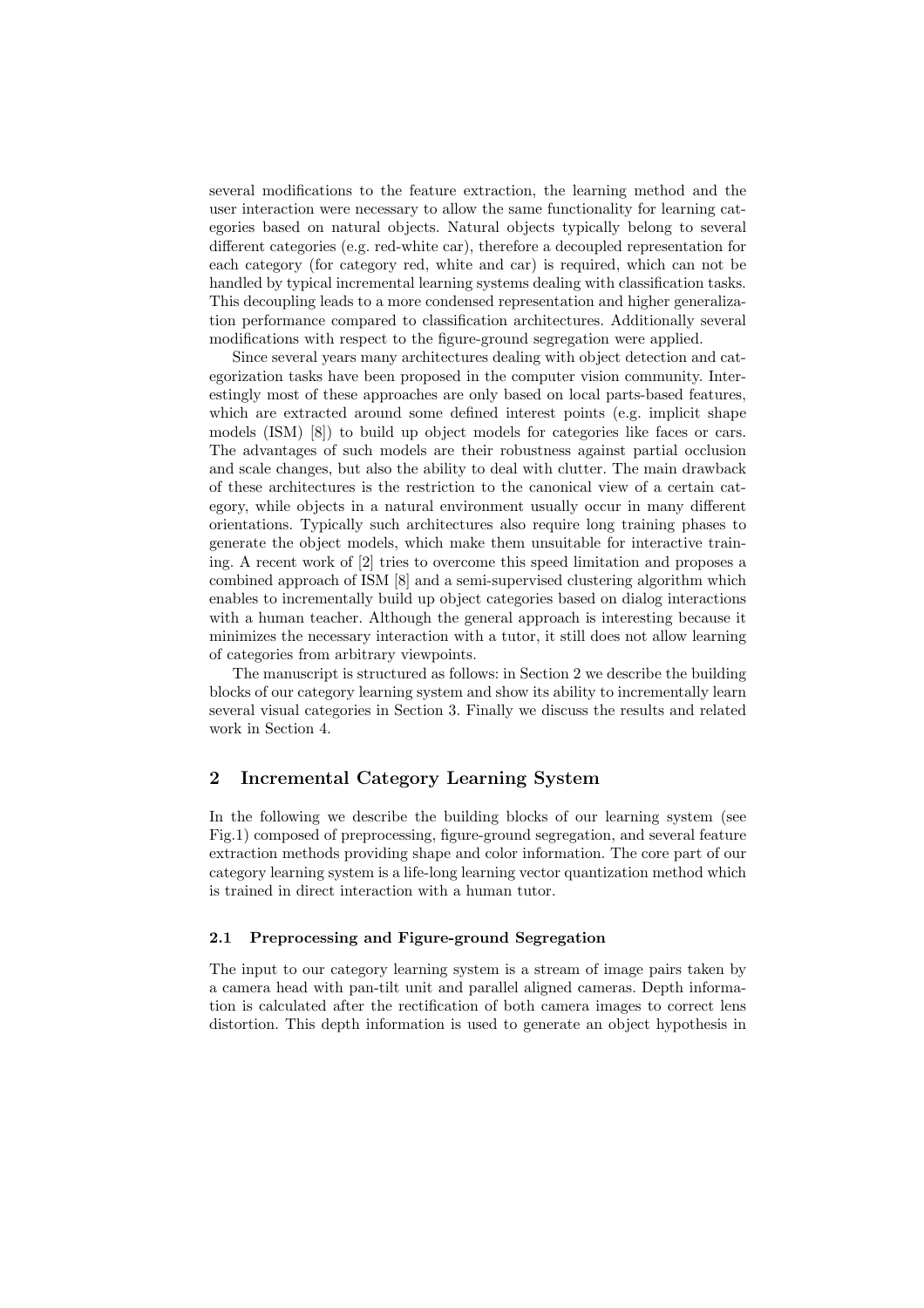several modifications to the feature extraction, the learning method and the user interaction were necessary to allow the same functionality for learning categories based on natural objects. Natural objects typically belong to several different categories (e.g. red-white car), therefore a decoupled representation for each category (for category red, white and car) is required, which can not be handled by typical incremental learning systems dealing with classification tasks. This decoupling leads to a more condensed representation and higher generalization performance compared to classification architectures. Additionally several modifications with respect to the figure-ground segregation were applied.

Since several years many architectures dealing with object detection and categorization tasks have been proposed in the computer vision community. Interestingly most of these approaches are only based on local parts-based features, which are extracted around some defined interest points (e.g. implicit shape models (ISM) [8]) to build up object models for categories like faces or cars. The advantages of such models are their robustness against partial occlusion and scale changes, but also the ability to deal with clutter. The main drawback of these architectures is the restriction to the canonical view of a certain category, while objects in a natural environment usually occur in many different orientations. Typically such architectures also require long training phases to generate the object models, which make them unsuitable for interactive training. A recent work of [2] tries to overcome this speed limitation and proposes a combined approach of ISM [8] and a semi-supervised clustering algorithm which enables to incrementally build up object categories based on dialog interactions with a human teacher. Although the general approach is interesting because it minimizes the necessary interaction with a tutor, it still does not allow learning of categories from arbitrary viewpoints.

The manuscript is structured as follows: in Section 2 we describe the building blocks of our category learning system and show its ability to incrementally learn several visual categories in Section 3. Finally we discuss the results and related work in Section 4.

# 2 Incremental Category Learning System

In the following we describe the building blocks of our learning system (see Fig.1) composed of preprocessing, figure-ground segregation, and several feature extraction methods providing shape and color information. The core part of our category learning system is a life-long learning vector quantization method which is trained in direct interaction with a human tutor.

## 2.1 Preprocessing and Figure-ground Segregation

The input to our category learning system is a stream of image pairs taken by a camera head with pan-tilt unit and parallel aligned cameras. Depth information is calculated after the rectification of both camera images to correct lens distortion. This depth information is used to generate an object hypothesis in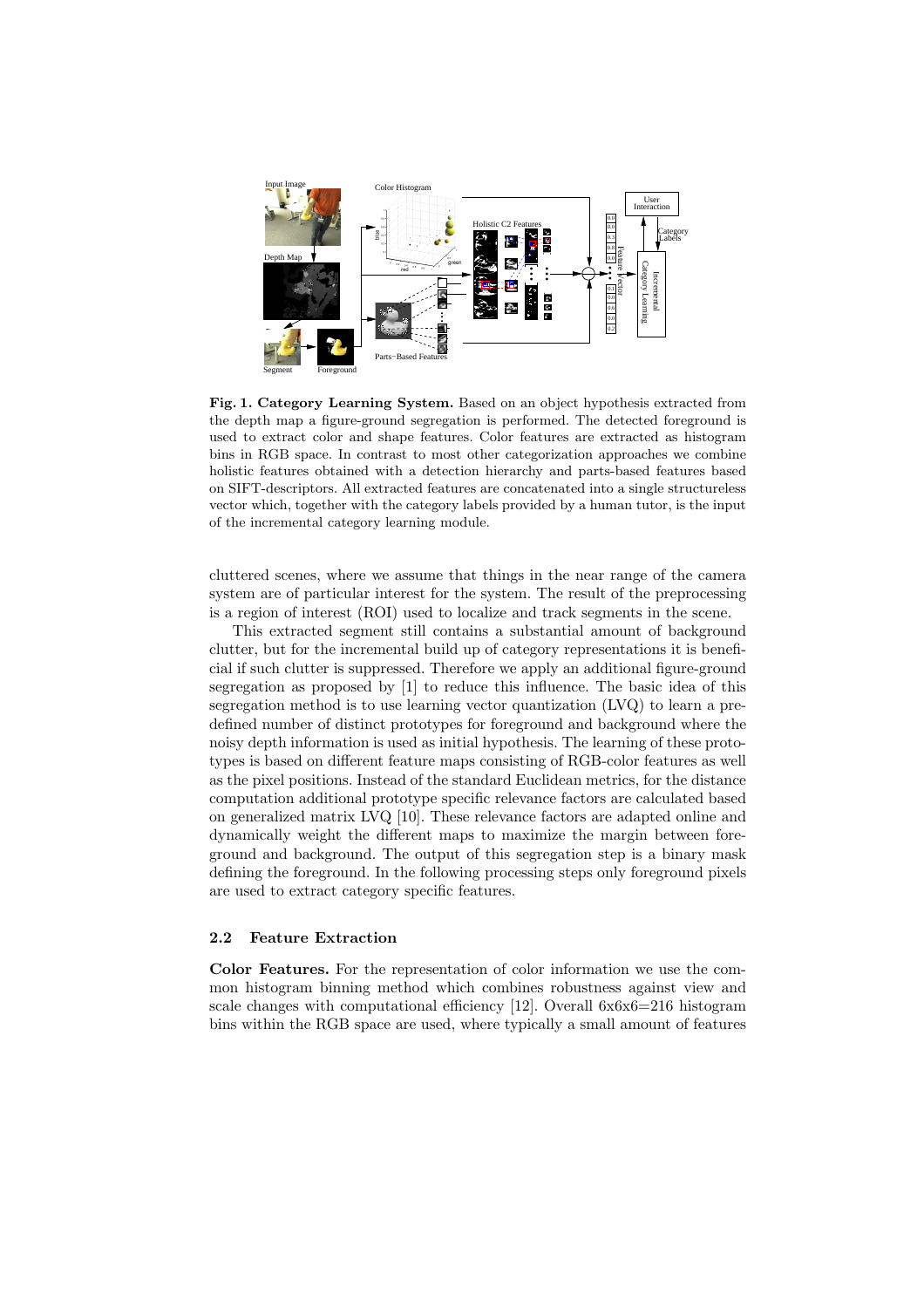

Fig. 1. Category Learning System. Based on an object hypothesis extracted from the depth map a figure-ground segregation is performed. The detected foreground is used to extract color and shape features. Color features are extracted as histogram bins in RGB space. In contrast to most other categorization approaches we combine holistic features obtained with a detection hierarchy and parts-based features based on SIFT-descriptors. All extracted features are concatenated into a single structureless vector which, together with the category labels provided by a human tutor, is the input of the incremental category learning module.

cluttered scenes, where we assume that things in the near range of the camera system are of particular interest for the system. The result of the preprocessing is a region of interest (ROI) used to localize and track segments in the scene.

This extracted segment still contains a substantial amount of background clutter, but for the incremental build up of category representations it is beneficial if such clutter is suppressed. Therefore we apply an additional figure-ground segregation as proposed by [1] to reduce this influence. The basic idea of this segregation method is to use learning vector quantization (LVQ) to learn a predefined number of distinct prototypes for foreground and background where the noisy depth information is used as initial hypothesis. The learning of these prototypes is based on different feature maps consisting of RGB-color features as well as the pixel positions. Instead of the standard Euclidean metrics, for the distance computation additional prototype specific relevance factors are calculated based on generalized matrix LVQ [10]. These relevance factors are adapted online and dynamically weight the different maps to maximize the margin between foreground and background. The output of this segregation step is a binary mask defining the foreground. In the following processing steps only foreground pixels are used to extract category specific features.

#### 2.2 Feature Extraction

Color Features. For the representation of color information we use the common histogram binning method which combines robustness against view and scale changes with computational efficiency [12]. Overall  $6x6x6=216$  histogram bins within the RGB space are used, where typically a small amount of features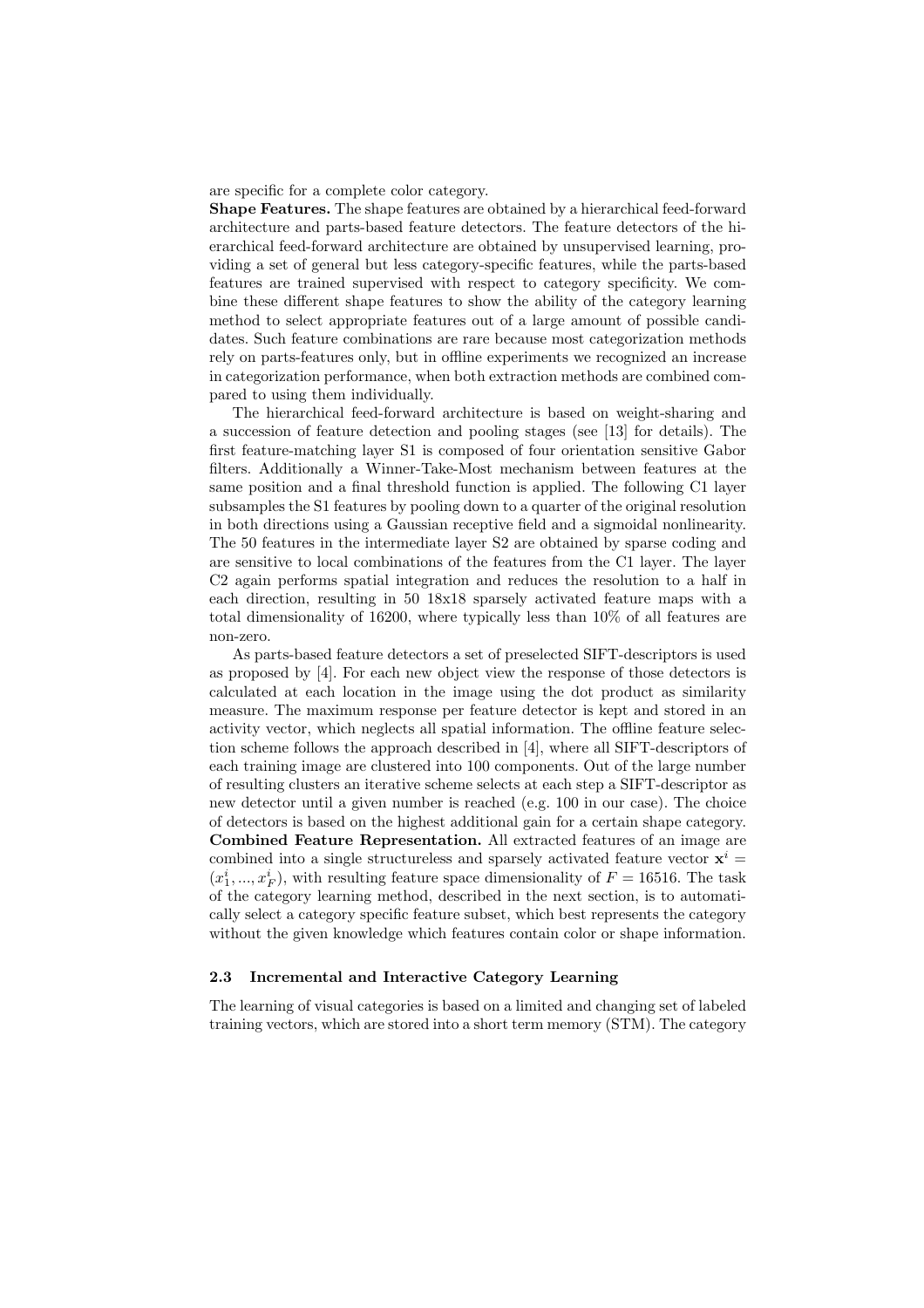are specific for a complete color category.

Shape Features. The shape features are obtained by a hierarchical feed-forward architecture and parts-based feature detectors. The feature detectors of the hierarchical feed-forward architecture are obtained by unsupervised learning, providing a set of general but less category-specific features, while the parts-based features are trained supervised with respect to category specificity. We combine these different shape features to show the ability of the category learning method to select appropriate features out of a large amount of possible candidates. Such feature combinations are rare because most categorization methods rely on parts-features only, but in offline experiments we recognized an increase in categorization performance, when both extraction methods are combined compared to using them individually.

The hierarchical feed-forward architecture is based on weight-sharing and a succession of feature detection and pooling stages (see [13] for details). The first feature-matching layer S1 is composed of four orientation sensitive Gabor filters. Additionally a Winner-Take-Most mechanism between features at the same position and a final threshold function is applied. The following C1 layer subsamples the S1 features by pooling down to a quarter of the original resolution in both directions using a Gaussian receptive field and a sigmoidal nonlinearity. The 50 features in the intermediate layer S2 are obtained by sparse coding and are sensitive to local combinations of the features from the C1 layer. The layer C2 again performs spatial integration and reduces the resolution to a half in each direction, resulting in 50 18x18 sparsely activated feature maps with a total dimensionality of 16200, where typically less than 10% of all features are non-zero.

As parts-based feature detectors a set of preselected SIFT-descriptors is used as proposed by [4]. For each new object view the response of those detectors is calculated at each location in the image using the dot product as similarity measure. The maximum response per feature detector is kept and stored in an activity vector, which neglects all spatial information. The offline feature selection scheme follows the approach described in [4], where all SIFT-descriptors of each training image are clustered into 100 components. Out of the large number of resulting clusters an iterative scheme selects at each step a SIFT-descriptor as new detector until a given number is reached (e.g. 100 in our case). The choice of detectors is based on the highest additional gain for a certain shape category. Combined Feature Representation. All extracted features of an image are combined into a single structureless and sparsely activated feature vector  $\mathbf{x}^i$  =  $(x_1^i, ..., x_F^i)$ , with resulting feature space dimensionality of  $F=16516$ . The task of the category learning method, described in the next section, is to automatically select a category specific feature subset, which best represents the category without the given knowledge which features contain color or shape information.

## 2.3 Incremental and Interactive Category Learning

The learning of visual categories is based on a limited and changing set of labeled training vectors, which are stored into a short term memory (STM). The category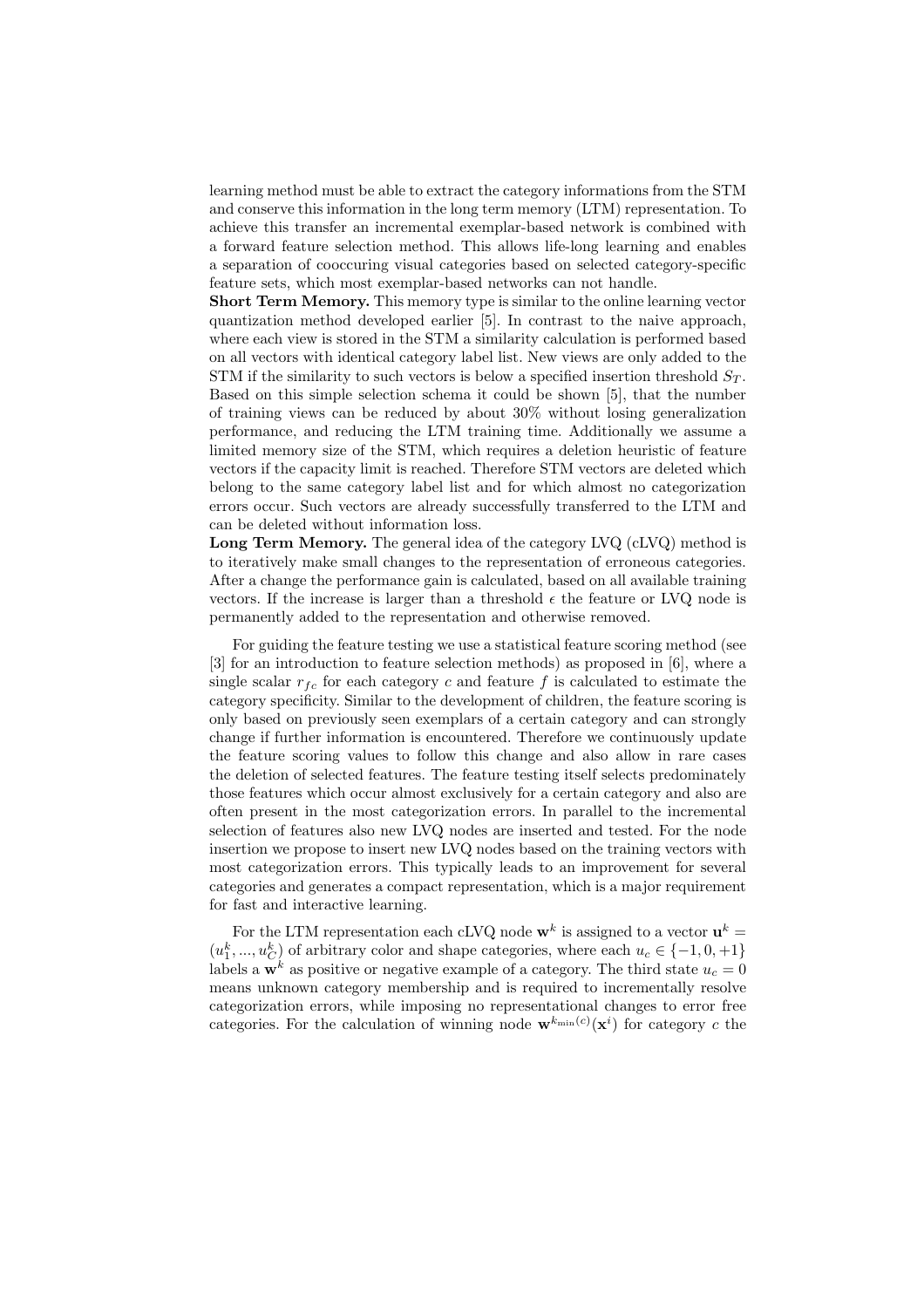learning method must be able to extract the category informations from the STM and conserve this information in the long term memory (LTM) representation. To achieve this transfer an incremental exemplar-based network is combined with a forward feature selection method. This allows life-long learning and enables a separation of cooccuring visual categories based on selected category-specific feature sets, which most exemplar-based networks can not handle.

Short Term Memory. This memory type is similar to the online learning vector quantization method developed earlier [5]. In contrast to the naive approach, where each view is stored in the STM a similarity calculation is performed based on all vectors with identical category label list. New views are only added to the STM if the similarity to such vectors is below a specified insertion threshold  $S_T$ . Based on this simple selection schema it could be shown [5], that the number of training views can be reduced by about 30% without losing generalization performance, and reducing the LTM training time. Additionally we assume a limited memory size of the STM, which requires a deletion heuristic of feature vectors if the capacity limit is reached. Therefore STM vectors are deleted which belong to the same category label list and for which almost no categorization errors occur. Such vectors are already successfully transferred to the LTM and can be deleted without information loss.

Long Term Memory. The general idea of the category LVQ (cLVQ) method is to iteratively make small changes to the representation of erroneous categories. After a change the performance gain is calculated, based on all available training vectors. If the increase is larger than a threshold  $\epsilon$  the feature or LVQ node is permanently added to the representation and otherwise removed.

For guiding the feature testing we use a statistical feature scoring method (see [3] for an introduction to feature selection methods) as proposed in [6], where a single scalar  $r_{fc}$  for each category c and feature f is calculated to estimate the category specificity. Similar to the development of children, the feature scoring is only based on previously seen exemplars of a certain category and can strongly change if further information is encountered. Therefore we continuously update the feature scoring values to follow this change and also allow in rare cases the deletion of selected features. The feature testing itself selects predominately those features which occur almost exclusively for a certain category and also are often present in the most categorization errors. In parallel to the incremental selection of features also new LVQ nodes are inserted and tested. For the node insertion we propose to insert new LVQ nodes based on the training vectors with most categorization errors. This typically leads to an improvement for several categories and generates a compact representation, which is a major requirement for fast and interactive learning.

For the LTM representation each cLVQ node  $\mathbf{w}^k$  is assigned to a vector  $\mathbf{u}^k =$  $(u_1^k,...,u_C^k)$  of arbitrary color and shape categories, where each  $u_c \in \{-1,0,+1\}$ labels a  $\mathbf{w}^k$  as positive or negative example of a category. The third state  $u_c = 0$ means unknown category membership and is required to incrementally resolve categorization errors, while imposing no representational changes to error free categories. For the calculation of winning node  $\mathbf{w}^{k_{\min}(c)}(\mathbf{x}^i)$  for category c the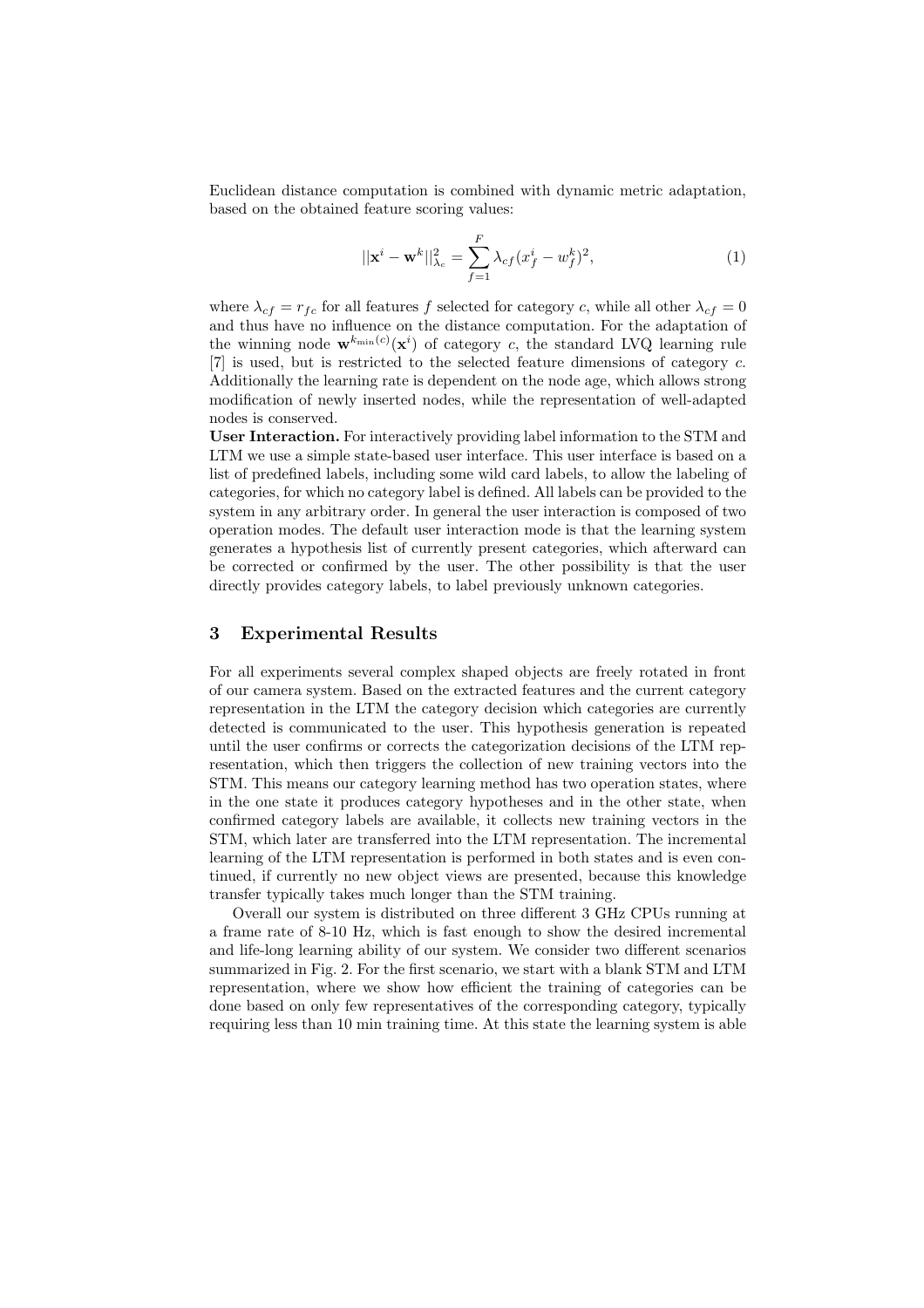Euclidean distance computation is combined with dynamic metric adaptation, based on the obtained feature scoring values:

$$
||\mathbf{x}^{i} - \mathbf{w}^{k}||_{\lambda_c}^{2} = \sum_{f=1}^{F} \lambda_{cf} (x_f^{i} - w_f^{k})^{2},
$$
\n(1)

where  $\lambda_{cf} = r_{fc}$  for all features f selected for category c, while all other  $\lambda_{cf} = 0$ and thus have no influence on the distance computation. For the adaptation of the winning node  $\mathbf{w}^{k_{\min}(c)}(\mathbf{x}^i)$  of category c, the standard LVQ learning rule [7] is used, but is restricted to the selected feature dimensions of category c. Additionally the learning rate is dependent on the node age, which allows strong modification of newly inserted nodes, while the representation of well-adapted nodes is conserved.

User Interaction. For interactively providing label information to the STM and LTM we use a simple state-based user interface. This user interface is based on a list of predefined labels, including some wild card labels, to allow the labeling of categories, for which no category label is defined. All labels can be provided to the system in any arbitrary order. In general the user interaction is composed of two operation modes. The default user interaction mode is that the learning system generates a hypothesis list of currently present categories, which afterward can be corrected or confirmed by the user. The other possibility is that the user directly provides category labels, to label previously unknown categories.

## 3 Experimental Results

For all experiments several complex shaped objects are freely rotated in front of our camera system. Based on the extracted features and the current category representation in the LTM the category decision which categories are currently detected is communicated to the user. This hypothesis generation is repeated until the user confirms or corrects the categorization decisions of the LTM representation, which then triggers the collection of new training vectors into the STM. This means our category learning method has two operation states, where in the one state it produces category hypotheses and in the other state, when confirmed category labels are available, it collects new training vectors in the STM, which later are transferred into the LTM representation. The incremental learning of the LTM representation is performed in both states and is even continued, if currently no new object views are presented, because this knowledge transfer typically takes much longer than the STM training.

Overall our system is distributed on three different 3 GHz CPUs running at a frame rate of 8-10 Hz, which is fast enough to show the desired incremental and life-long learning ability of our system. We consider two different scenarios summarized in Fig. 2. For the first scenario, we start with a blank STM and LTM representation, where we show how efficient the training of categories can be done based on only few representatives of the corresponding category, typically requiring less than 10 min training time. At this state the learning system is able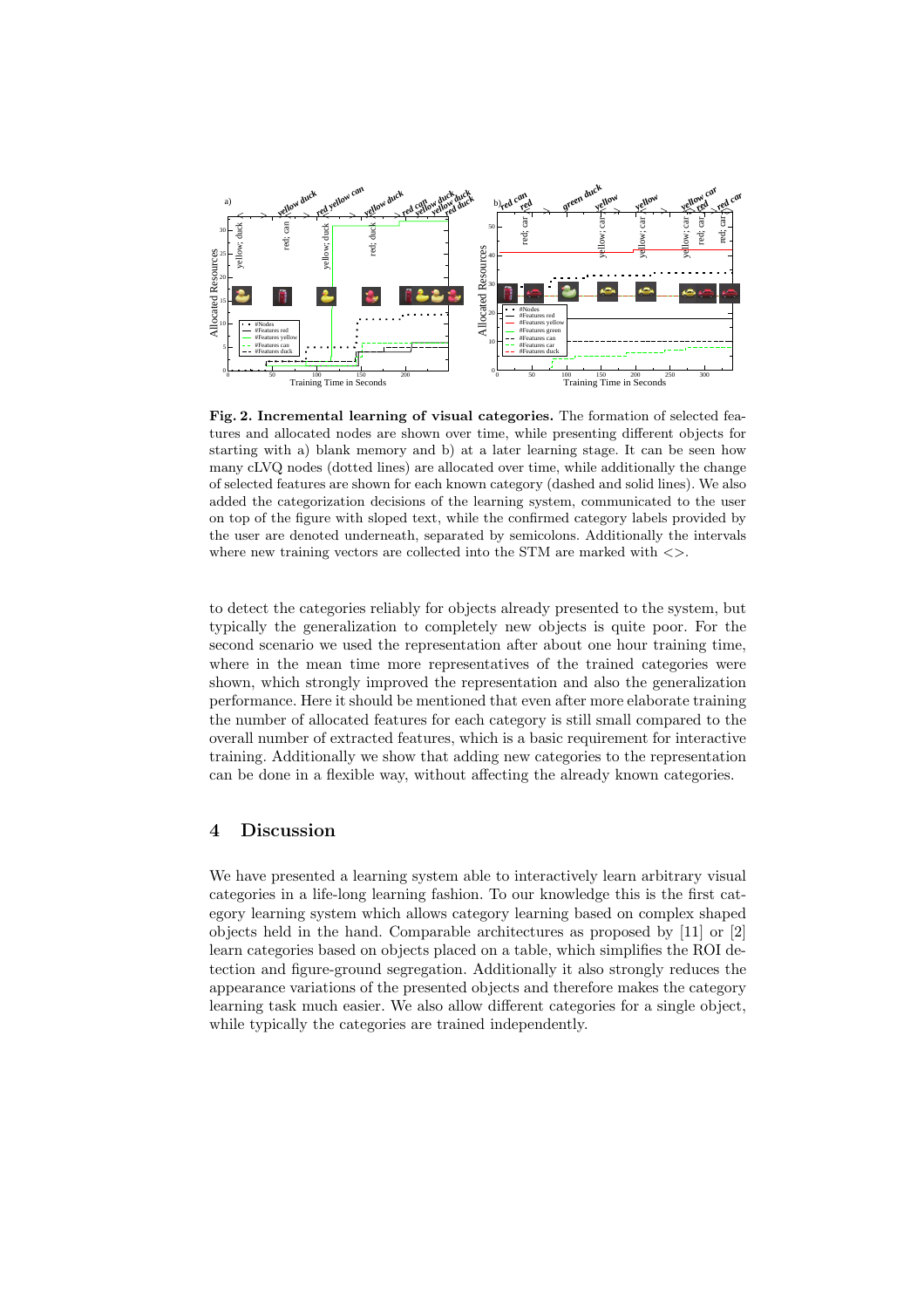

Fig. 2. Incremental learning of visual categories. The formation of selected features and allocated nodes are shown over time, while presenting different objects for starting with a) blank memory and b) at a later learning stage. It can be seen how many cLVQ nodes (dotted lines) are allocated over time, while additionally the change of selected features are shown for each known category (dashed and solid lines). We also added the categorization decisions of the learning system, communicated to the user on top of the figure with sloped text, while the confirmed category labels provided by the user are denoted underneath, separated by semicolons. Additionally the intervals where new training vectors are collected into the STM are marked with  $\langle \rangle$ .

to detect the categories reliably for objects already presented to the system, but typically the generalization to completely new objects is quite poor. For the second scenario we used the representation after about one hour training time, where in the mean time more representatives of the trained categories were shown, which strongly improved the representation and also the generalization performance. Here it should be mentioned that even after more elaborate training the number of allocated features for each category is still small compared to the overall number of extracted features, which is a basic requirement for interactive training. Additionally we show that adding new categories to the representation can be done in a flexible way, without affecting the already known categories.

## 4 Discussion

We have presented a learning system able to interactively learn arbitrary visual categories in a life-long learning fashion. To our knowledge this is the first category learning system which allows category learning based on complex shaped objects held in the hand. Comparable architectures as proposed by [11] or [2] learn categories based on objects placed on a table, which simplifies the ROI detection and figure-ground segregation. Additionally it also strongly reduces the appearance variations of the presented objects and therefore makes the category learning task much easier. We also allow different categories for a single object, while typically the categories are trained independently.